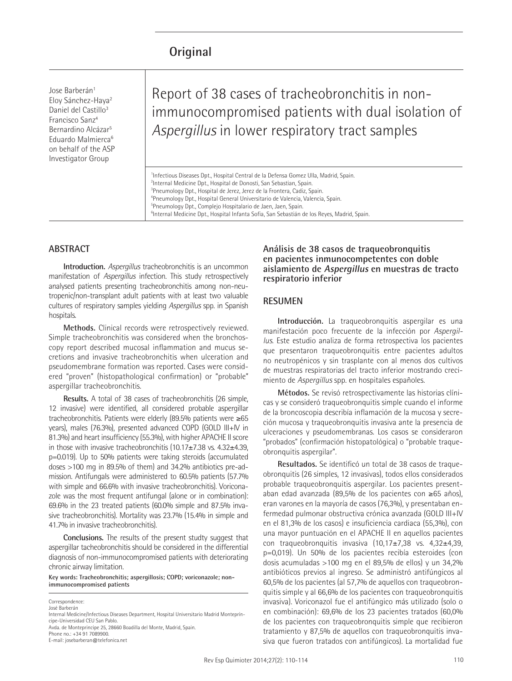# **Original**

Jose Barberán<sup>1</sup> Eloy Sánchez-Haya2 Daniel del Castillo<sup>3</sup> Francisco Sanz4 Bernardino Alcázar5 Eduardo Malmierca6 on behalf of the ASP Investigator Group

Report of 38 cases of tracheobronchitis in nonimmunocompromised patients with dual isolation of *Aspergillus* in lower respiratory tract samples

<sup>1</sup>Infectious Diseases Dpt., Hospital Central de la Defensa Gomez Ulla, Madrid, Spain. <sup>2</sup>Internal Medicine Dpt., Hospital de Donosti, San Sebastian, Spain. Pneumology Dpt., Hospital de Jerez, Jerez de la Frontera, Cadiz, Spain. Pneumology Dpt., Hospital General Universitario de Valencia, Valencia, Spain. Pneumology Dpt., Complejo Hospitalario de Jaen, Jaen, Spain. Internal Medicine Dpt., Hospital Infanta Sofia, San Sebastián de los Reyes, Madrid, Spain.

## **ABSTRACT**

**Introduction.** *Aspergillus* tracheobronchitis is an uncommon manifestation of *Aspergillus* infection. This study retrospectively analysed patients presenting tracheobronchitis among non-neutropenic/non-transplant adult patients with at least two valuable cultures of respiratory samples yielding *Aspergillus* spp. in Spanish hospitals.

**Methods.** Clinical records were retrospectively reviewed. Simple tracheobronchitis was considered when the bronchoscopy report described mucosal inflammation and mucus secretions and invasive tracheobronchitis when ulceration and pseudomembrane formation was reported. Cases were considered "proven" (histopathological confirmation) or "probable" aspergillar tracheobronchitis.

**Results.** A total of 38 cases of tracheobronchitis (26 simple, 12 invasive) were identified, all considered probable aspergillar tracheobronchitis. Patients were elderly (89.5% patients were ≥65 years), males (76.3%), presented advanced COPD (GOLD III+IV in 81.3%) and heart insufficiency (55.3%), with higher APACHE II score in those with invasive tracheobronchitis (10.17±7.38 vs. 4.32±4.39, p=0.019). Up to 50% patients were taking steroids (accumulated doses >100 mg in 89.5% of them) and 34.2% antibiotics pre-admission. Antifungals were administered to 60.5% patients (57.7% with simple and 66.6% with invasive tracheobronchitis). Voriconazole was the most frequent antifungal (alone or in combination): 69.6% in the 23 treated patients (60.0% simple and 87.5% invasive tracheobronchitis). Mortality was 23.7% (15.4% in simple and 41.7% in invasive tracheobronchitis).

**Conclusions.** The results of the present studty suggest that aspergillar tacheobronchitis should be considered in the differential diagnosis of non-immunocompromised patients with deteriorating chronic airway limitation.

**Key words: Tracheobronchitis; aspergillosis; COPD; voriconazole; nonimmunocompromised patients** 

Correspondence: José Barberán

Internal Medicine/Infectious Diseases Department, Hospital Universitario Madrid Montepríncipe-Universidad CEU San Pablo.

Avda. de Monteprincipe 25, 28660 Boadilla del Monte, Madrid, Spain. Phone no.: +34 91 7089900. E-mail: josebarberan@telefonica.net

#### **Análisis de 38 casos de traqueobronquitis en pacientes inmunocompetentes con doble aislamiento de Aspergillus en muestras de tracto respiratorio inferior**

#### **RESUMEN**

**Introducción.** La traqueobronquitis aspergilar es una manifestación poco frecuente de la infección por *Aspergillus*. Este estudio analiza de forma retrospectiva los pacientes que presentaron traqueobronquitis entre pacientes adultos no neutropénicos y sin trasplante con al menos dos cultivos de muestras respiratorias del tracto inferior mostrando crecimiento de *Aspergillus* spp. en hospitales españoles.

**Métodos.** Se revisó retrospectivamente las historias clínicas y se consideró traqueobronquitis simple cuando el informe de la broncoscopia describía inflamación de la mucosa y secreción mucosa y traqueobronquitis invasiva ante la presencia de ulceraciones y pseudomembranas. Los casos se consideraron "probados" (confirmación histopatológica) o "probable traqueobronquitis aspergilar".

**Resultados.** Se identificó un total de 38 casos de traqueobronquitis (26 simples, 12 invasivas), todos ellos considerados probable traqueobronquitis aspergilar. Los pacientes presentaban edad avanzada (89,5% de los pacientes con ≥65 años), eran varones en la mayoría de casos (76,3%), y presentaban enfermedad pulmonar obstructiva crónica avanzada (GOLD III+IV en el 81,3% de los casos) e insuficiencia cardiaca (55,3%), con una mayor puntuación en el APACHE II en aquellos pacientes con traqueobronquitis invasiva  $(10,17\pm7,38)$  vs.  $4,32\pm4,39$ , p=0,019). Un 50% de los pacientes recibía esteroides (con dosis acumuladas >100 mg en el 89,5% de ellos) y un 34,2% antibióticos previos al ingreso. Se administró antifúngicos al 60,5% de los pacientes (al 57,7% de aquellos con traqueobronquitis simple y al 66,6% de los pacientes con traqueobronquitis invasiva). Voriconazol fue el antifúngico más utilizado (solo o en combinación): 69,6% de los 23 pacientes tratados (60,0% de los pacientes con traqueobronquitis simple que recibieron tratamiento y 87,5% de aquellos con traqueobronquitis invasiva que fueron tratados con antifúngicos). La mortalidad fue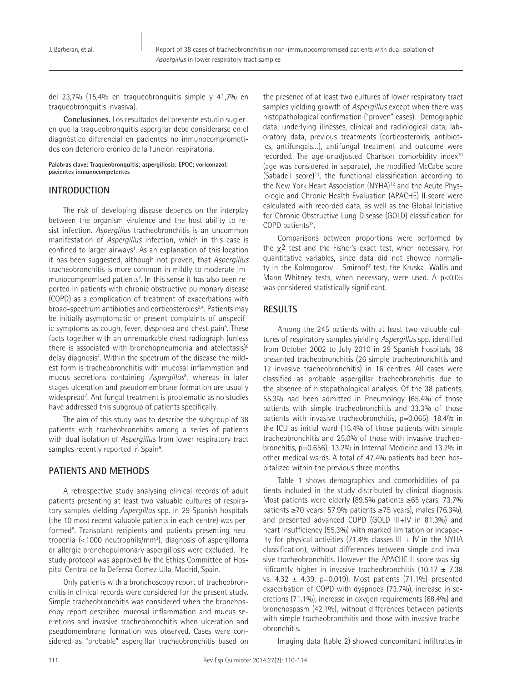J. Barberan, et al.

del 23,7% (15,4% en traqueobronquitis simple y 41,7% en traqueobronquitis invasiva).

**Conclusiones.** Los resultados del presente estudio sugieren que la traqueobronquitis aspergilar debe considerarse en el diagnóstico diferencial en pacientes no inmunocomprometidos con deterioro crónico de la función respiratoria.

**Palabras clave: Traqueobronquitis; aspergillosis; EPOC; voriconazol; pacientes inmunocompetentes** 

## **INTRODUCTION**

The risk of developing disease depends on the interplay between the organism virulence and the host ability to resist infection. *Aspergillus* tracheobronchitis is an uncommon manifestation of *Aspergillus* infection, which in this case is confined to larger airways<sup>1</sup>. As an explanation of this location it has been suggested, although not proven, that *Aspergillus*  tracheobronchitis is more common in mildly to moderate immunocompromised patients<sup>2</sup>. In this sense it has also been reported in patients with chronic obstructive pulmonary disease (COPD) as a complication of treatment of exacerbations with broad-spectrum antibiotics and corticosteroids<sup>3,4</sup>. Patients may be initially asymptomatic or present complaints of unspecific symptoms as cough, fever, dyspnoea and chest pain<sup>5</sup>. These facts together with an unremarkable chest radiograph (unless there is associated with bronchopneumonia and atelectasis)<sup>6</sup> delay diagnosis<sup>7</sup>. Within the spectrum of the disease the mildest form is tracheobronchitis with mucosal inflammation and mucus secretions containing *Aspergillus*<sup>8</sup> , whereas in later stages ulceration and pseudomembrane formation are usually widespread<sup>7</sup>. Antifungal treatment is problematic as no studies have addressed this subgroup of patients specifically.

The aim of this study was to describe the subgroup of 38 patients with tracheobronchitis among a series of patients with dual isolation of *Aspergillus* from lower respiratory tract samples recently reported in Spain<sup>9</sup>. .

## **PATIENTS AND METHODS**

A retrospective study analysing clinical records of adult patients presenting at least two valuable cultures of respiratory samples yielding *Aspergillus* spp. in 29 Spanish hospitals (the 10 most recent valuable patients in each centre) was performed<sup>9</sup>. Transplant recipients and patients presenting neutropenia (<1000 neutrophils/mm<sup>3</sup>), diagnosis of aspergilloma or allergic bronchopulmonary aspergillosis were excluded. The study protocol was approved by the Ethics Committee of Hospital Central de la Defensa Gomez Ulla, Madrid, Spain.

Only patients with a bronchoscopy report of tracheobronchitis in clinical records were considered for the present study. Simple tracheobronchitis was considered when the bronchoscopy report described mucosal inflammation and mucus secretions and invasive tracheobronchitis when ulceration and pseudomembrane formation was observed. Cases were considered as "probable" aspergillar tracheobronchitis based on

the presence of at least two cultures of lower respiratory tract samples yielding growth of *Aspergillus* except when there was histopathological confirmation ("proven" cases). Demographic data, underlying illnesses, clinical and radiological data, laboratory data, previous treatments (corticosteroids, antibiotics, antifungals…), antifungal treatment and outcome were recorded. The age-unadjusted Charlson comorbidity index10 (age was considered in separate), the modified McCabe score (Sabadell score) $11$ , the functional classification according to the New York Heart Association (NYHA)<sup>12</sup> and the Acute Physiologic and Chronic Health Evaluation (APACHE) II score were calculated with recorded data, as well as the Global Initiative for Chronic Obstructive Lung Disease (GOLD) classification for COPD patients<sup>13</sup>.

Comparisons between proportions were performed by the  $\chi^2$  test and the Fisher's exact test, when necessary. For quantitative variables, since data did not showed normality in the Kolmogorov – Smirnoff test, the Kruskal-Wallis and Mann-Whitney tests, when necessary, were used. A p<0.05 was considered statistically significant.

# **RESULTS**

Among the 245 patients with at least two valuable cultures of respiratory samples yielding *Aspergillus* spp. identified from October 2002 to July 2010 in 29 Spanish hospitals, 38 presented tracheobronchitis (26 simple tracheobronchitis and 12 invasive tracheobronchitis) in 16 centres. All cases were classified as probable aspergillar tracheobronchitis due to the absence of histopathological analysis. Of the 38 patients, 55.3% had been admitted in Pneumology (65.4% of those patients with simple tracheobronchitis and 33.3% of those patients with invasive tracheobronchitis, p=0.065), 18.4% in the ICU as initial ward (15.4% of those patients with simple tracheobronchitis and 25.0% of those with invasive tracheobronchitis, p=0.656), 13.2% in Internal Medicine and 13.2% in other medical wards. A total of 47.4% patients had been hospitalized within the previous three months.

Table 1 shows demographics and comorbidities of patients included in the study distributed by clinical diagnosis. Most patients were elderly (89.5% patients ≥65 years, 73.7% patients ≥70 years; 57.9% patients ≥75 years), males (76.3%), and presented advanced COPD (GOLD III+IV in 81.3%) and heart insufficiency (55.3%) with marked limitation or incapacity for physical activities (71.4% classes  $III + IV$  in the NYHA classification), without differences between simple and invasive tracheobronchitis. However the APACHE II score was significantly higher in invasive tracheobronchitis (10.17  $\pm$  7.38 vs. 4.32 ± 4.39, p=0.019). Most patients (71.1%) presented exacerbation of COPD with dyspnoea (73.7%), increase in secretions (71.1%), increase in oxygen requirements (68.4%) and bronchospasm (42.1%), without differences between patients with simple tracheobronchitis and those with invasive tracheobronchitis.

Imaging data (table 2) showed concomitant infiltrates in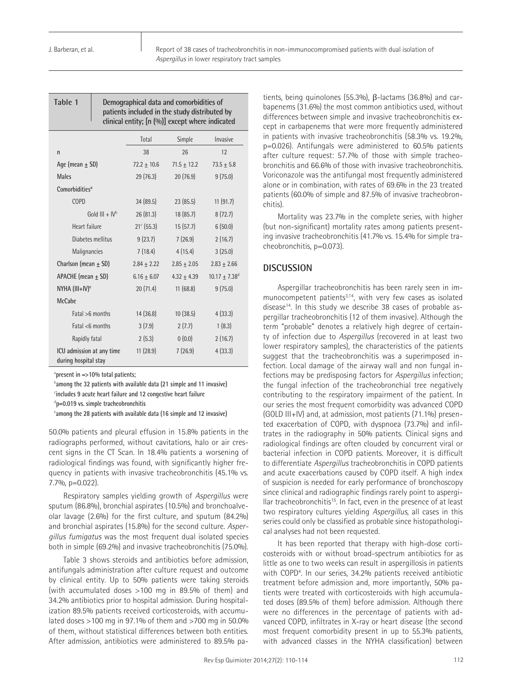| Table 1                                           | Demographical data and comorbidities of<br>patients included in the study distributed by<br>clinical entity; [n (%)] except where indicated |                     |                 |                             |  |  |
|---------------------------------------------------|---------------------------------------------------------------------------------------------------------------------------------------------|---------------------|-----------------|-----------------------------|--|--|
|                                                   |                                                                                                                                             | Total               | Simple          | Invasive                    |  |  |
| n                                                 |                                                                                                                                             | 38                  | 26              | 12                          |  |  |
| Age (mean $\pm$ SD)                               |                                                                                                                                             | $72.2 + 10.6$       | $71.5 \pm 12.2$ | $73.5 \pm 5.8$              |  |  |
| <b>Males</b>                                      |                                                                                                                                             | 29 (76.3)           | 20(76.9)        | 9(75.0)                     |  |  |
| Comorbidities <sup>a</sup>                        |                                                                                                                                             |                     |                 |                             |  |  |
| <b>COPD</b>                                       |                                                                                                                                             | 34(89.5)            | 23(85.5)        | 11(91.7)                    |  |  |
| Gold $III + IV^b$                                 |                                                                                                                                             | 26 (81.3)           | 18(85.7)        | 8(72.7)                     |  |  |
| Heart failure                                     |                                                                                                                                             | $21^{\circ}$ (55.3) | 15(57.7)        | 6(50.0)                     |  |  |
|                                                   | Diabetes mellitus                                                                                                                           | 9(23.7)             | 7(26.9)         | 2(16.7)                     |  |  |
| Malignancies                                      |                                                                                                                                             | 7(18.4)             | 4(15.4)         | 3(25.0)                     |  |  |
| Charlson (mean $\pm$ SD)                          |                                                                                                                                             | $2.84 \pm 2.22$     | $2.85 \pm 2.05$ | $2.83 \pm 2.66$             |  |  |
| APACHE (mean $\pm$ SD)                            |                                                                                                                                             | $6.16 \pm 6.07$     | $4.32 + 4.39$   | $10.17 + 7.38$ <sup>d</sup> |  |  |
| NYHA (III+IV) <sup>e</sup>                        |                                                                                                                                             | 20(71.4)            | 11(68.8)        | 9(75.0)                     |  |  |
| <b>McCabe</b>                                     |                                                                                                                                             |                     |                 |                             |  |  |
| Fatal >6 months                                   |                                                                                                                                             | 14 (36.8)           | 10(38.5)        | 4(33.3)                     |  |  |
| Fatal <6 months                                   |                                                                                                                                             | 3(7.9)              | 2(7.7)          | 1(8.3)                      |  |  |
| Rapidly fatal                                     |                                                                                                                                             | 2(5.3)              | 0(0.0)          | 2(16.7)                     |  |  |
| ICU admission at any time<br>during hospital stay |                                                                                                                                             | 11(28.9)            | 7(26.9)         | 4(33.3)                     |  |  |

a **present in** ≈**>10% total patients;**

b **among the 32 patients with available data (21 simple and 11 invasive)**

e **among the 28 patients with available data (16 simple and 12 invasive)**

50.0% patients and pleural effusion in 15.8% patients in the radiographs performed, without cavitations, halo or air crescent signs in the CT Scan. In 18.4% patients a worsening of radiological findings was found, with significantly higher frequency in patients with invasive tracheobronchitis (45.1% vs. 7.7%, p=0.022).

Respiratory samples yielding growth of *Aspergillus* were sputum (86.8%), bronchial aspirates (10.5%) and bronchoalveolar lavage (2.6%) for the first culture, and sputum (84.2%) and bronchial aspirates (15.8%) for the second culture. *Aspergillus fumigatus* was the most frequent dual isolated species both in simple (69.2%) and invasive tracheobronchitis (75.0%).

Table 3 shows steroids and antibiotics before admission, antifungals administration after culture request and outcome by clinical entity. Up to 50% patients were taking steroids (with accumulated doses >100 mg in 89.5% of them) and 34.2% antibiotics prior to hospital admission. During hospitalization 89.5% patients received corticosteroids, with accumulated doses >100 mg in 97.1% of them and >700 mg in 50.0% of them, without statistical differences between both entities. After admission, antibiotics were administered to 89.5% pa-

tients, being quinolones (55.3%), β-lactams (36.8%) and carbapenems (31.6%) the most common antibiotics used, without differences between simple and invasive tracheobronchitis except in carbapenems that were more frequently administered in patients with invasive tracheobronchitis (58.3% vs. 19.2%, p=0.026). Antifungals were administered to 60.5% patients after culture request: 57.7% of those with simple tracheobronchitis and 66.6% of those with invasive tracheobronchitis. Voriconazole was the antifungal most frequently administered alone or in combination, with rates of 69.6% in the 23 treated patients (60.0% of simple and 87.5% of invasive tracheobronchitis).

Mortality was 23.7% in the complete series, with higher (but non-significant) mortality rates among patients presenting invasive tracheobronchitis (41.7% vs. 15.4% for simple tracheobronchitis, p=0.073).

## **DISCUSSION**

Aspergillar tracheobronchitis has been rarely seen in immunocompetent patients<sup>3,14</sup>, with very few cases as isolated disease<sup>14</sup>. In this study we describe 38 cases of probable aspergillar tracheobronchitis (12 of them invasive). Although the term "probable" denotes a relatively high degree of certainty of infection due to *Aspergillus* (recovered in at least two lower respiratory samples), the characteristics of the patients suggest that the tracheobronchitis was a superimposed infection. Local damage of the airway wall and non fungal infections may be predisposing factors for *Aspergillus* infection; the fungal infection of the tracheobronchial tree negatively contributing to the respiratory impairment of the patient. In our series the most frequent comorbidity was advanced COPD (GOLD III+IV) and, at admission, most patients (71.1%) presented exacerbation of COPD, with dyspnoea (73.7%) and infiltrates in the radiography in 50% patients. Clinical signs and radiological findings are often clouded by concurrent viral or bacterial infection in COPD patients. Moreover, it is difficult to differentiate *Aspergillus* tracheobronchitis in COPD patients and acute exacerbations caused by COPD itself. A high index of suspicion is needed for early performance of bronchoscopy since clinical and radiographic findings rarely point to aspergillar tracheobronchitis<sup>15</sup>. In fact, even in the presence of at least two respiratory cultures yielding *Aspergillus*, all cases in this series could only be classified as probable since histopathological analyses had not been requested.

It has been reported that therapy with high-dose corticosteroids with or without broad-spectrum antibiotics for as little as one to two weeks can result in aspergillosis in patients with COPD<sup>4</sup>. In our series, 34.2% patients received antibiotic treatment before admission and, more importantly, 50% patients were treated with corticosteroids with high accumulated doses (89.5% of them) before admission. Although there were no differences in the percentage of patients with advanced COPD, infiltrates in X-ray or heart disease (the second most frequent comorbidity present in up to 55.3% patients, with advanced classes in the NYHA classification) between

c **includes 9 acute heart failure and 12 congestive heart failure**

d **p=0.019 vs. simple tracheobronchitis**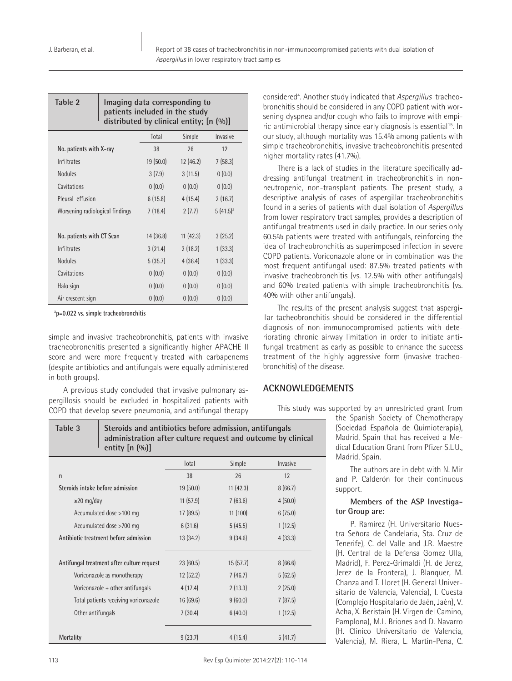Report of 38 cases of tracheobronchitis in non-immunocompromised patients with dual isolation of *Aspergillus* in lower respiratory tract samples

| Table 2 | Imaging data corresponding to<br>patients included in the study |
|---------|-----------------------------------------------------------------|
|         | distributed by clinical entity; [n (%)]                         |

|                                 | Total    | Simple   | Invasive      |
|---------------------------------|----------|----------|---------------|
| No. patients with X-ray         | 38       | 26       | 12            |
| <b>Infiltrates</b>              | 19(50.0) | 12(46.2) | 7(58.3)       |
| <b>Nodules</b>                  | 3(7.9)   | 3(11.5)  | 0(0.0)        |
| Cavitations                     | 0(0.0)   | 0(0.0)   | 0(0.0)        |
| Pleural effusion                | 6(15.8)  | 4(15.4)  | 2(16.7)       |
| Worsening radiological findings | 7(18.4)  | 2(7.7)   | $5(41.5)^{a}$ |
|                                 |          |          |               |
| No. patients with CT Scan       | 14(36.8) | 11(42.3) | 3(25.2)       |
| <b>Infiltrates</b>              | 3(21.4)  | 2(18.2)  | 1(33.3)       |
| <b>Nodules</b>                  | 5(35.7)  | 4(36.4)  | 1(33.3)       |
| Cavitations                     | 0(0.0)   | 0(0.0)   | 0(0.0)        |
| Halo sign                       | 0(0.0)   | 0(0.0)   | 0(0.0)        |
| Air crescent sign               | 0(0.0)   | 0(0.0)   | 0(0.0)        |

a **p=0.022 vs. simple tracheobronchitis** 

simple and invasive tracheobronchitis, patients with invasive tracheobronchitis presented a significantly higher APACHE II score and were more frequently treated with carbapenems (despite antibiotics and antifungals were equally administered in both groups).

A previous study concluded that invasive pulmonary aspergillosis should be excluded in hospitalized patients with COPD that develop severe pneumonia, and antifungal therapy

considered<sup>4</sup>. Another study indicated that Aspergillus tracheobronchitis should be considered in any COPD patient with worsening dyspnea and/or cough who fails to improve with empiric antimicrobial therapy since early diagnosis is essential<sup>15</sup>. In our study, although mortality was 15.4% among patients with simple tracheobronchitis, invasive tracheobronchitis presented higher mortality rates (41.7%).

There is a lack of studies in the literature specifically addressing antifungal treatment in tracheobronchitis in nonneutropenic, non-transplant patients. The present study, a descriptive analysis of cases of aspergillar tracheobronchitis found in a series of patients with dual isolation of *Aspergillus* from lower respiratory tract samples, provides a description of antifungal treatments used in daily practice. In our series only 60.5% patients were treated with antifungals, reinforcing the idea of tracheobronchitis as superimposed infection in severe COPD patients. Voriconazole alone or in combination was the most frequent antifungal used: 87.5% treated patients with invasive tracheobronchitis (vs. 12.5% with other antifungals) and 60% treated patients with simple tracheobronchitis (vs. 40% with other antifungals).

The results of the present analysis suggest that aspergillar tacheobronchitis should be considered in the differential diagnosis of non-immunocompromised patients with deteriorating chronic airway limitation in order to initiate antifungal treatment as early as possible to enhance the success treatment of the highly aggressive form (invasive tracheobronchitis) of the disease.

## **ACKNOWLEDGEMENTS**

This study was supported by an unrestricted grant from

the Spanish Society of Chemotherapy (Sociedad Española de Quimioterapia), Madrid, Spain that has received a Medical Education Grant from Pfizer S.L.U., Madrid, Spain.

The authors are in debt with N. Mir and P. Calderón for their continuous support.

#### **Members of the ASP Investigator Group are:**

P. Ramirez (H. Universitario Nuestra Señora de Candelaria, Sta. Cruz de Tenerife), C. del Valle and J.R. Maestre (H. Central de la Defensa Gomez Ulla, Madrid), F. Perez-Grimaldi (H. de Jerez, Jerez de la Frontera), J. Blanquer, M. Chanza and T. Lloret (H. General Universitario de Valencia, Valencia), I. Cuesta (Complejo Hospitalario de Jaén, Jaén), V. Acha, X. Beristain (H. Virgen del Camino, Pamplona), M.L. Briones and D. Navarro (H. Clínico Universitario de Valencia, Valencia), M. Riera, L. Martin-Pena, C.

# **Table 3 Steroids and antibiotics before admission, antifungals administration after culture request and outcome by clinical entity [n (%)]**

|                                            | Total    | Simple   | Invasive |
|--------------------------------------------|----------|----------|----------|
| n                                          | 38       | 26       | 12       |
| Steroids intake before admission           | 19(50.0) | 11(42.3) | 8(66.7)  |
| $\geq$ 20 mg/day                           | 11(57.9) | 7(63.6)  | 4(50.0)  |
| Accumulated dose >100 mg                   | 17(89.5) | 11(100)  | 6(75.0)  |
| Accumulated dose >700 mg                   | 6(31.6)  | 5(45.5)  | 1(12.5)  |
| Antibiotic treatment before admission      | 13(34.2) | 9(34.6)  | 4(33.3)  |
|                                            |          |          |          |
| Antifungal treatment after culture request | 23(60.5) | 15(57.7) | 8(66.6)  |
| Voriconazole as monotherapy                | 12(52.2) | 7(46.7)  | 5(62.5)  |
| Voriconazole + other antifungals           | 4(17.4)  | 2(13.3)  | 2(25.0)  |
| Total patients receiving voriconazole      | 16(69.6) | 9(60.0)  | 7(87.5)  |
| Other antifungals                          | 7(30.4)  | 6(40.0)  | 1(12.5)  |
|                                            |          |          |          |
| Mortality                                  | 9(23.7)  | 4(15.4)  | 5(41.7)  |